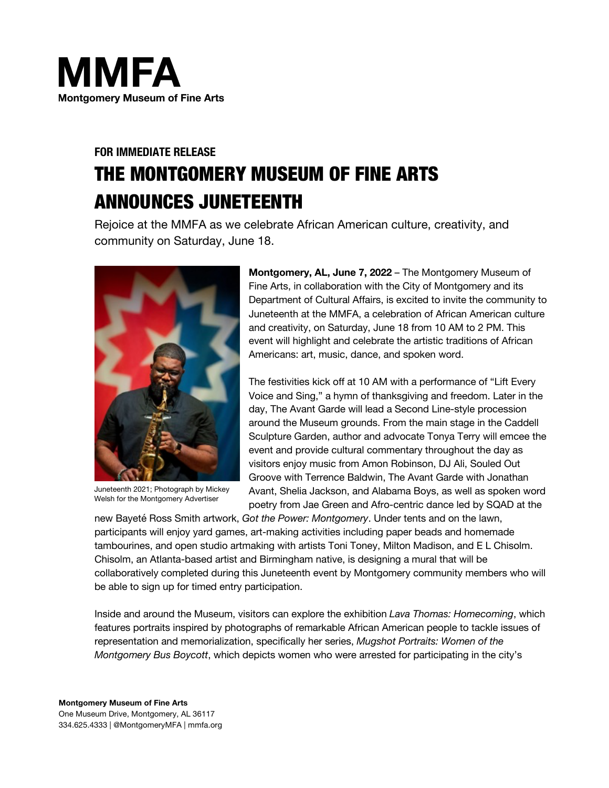

# **FOR IMMEDIATE RELEASE** THE MONTGOMERY MUSEUM OF FINE ARTS ANNOUNCES JUNETEENTH

Rejoice at the MMFA as we celebrate African American culture, creativity, and community on Saturday, June 18.



Juneteenth 2021; Photograph by Mickey Welsh for the Montgomery Advertiser

**Montgomery, AL, June 7, 2022** – The Montgomery Museum of Fine Arts, in collaboration with the City of Montgomery and its Department of Cultural Affairs, is excited to invite the community to Juneteenth at the MMFA, a celebration of African American culture and creativity, on Saturday, June 18 from 10 AM to 2 PM. This event will highlight and celebrate the artistic traditions of African Americans: art, music, dance, and spoken word.

The festivities kick off at 10 AM with a performance of "Lift Every Voice and Sing," a hymn of thanksgiving and freedom. Later in the day, The Avant Garde will lead a Second Line-style procession around the Museum grounds. From the main stage in the Caddell Sculpture Garden, author and advocate Tonya Terry will emcee the event and provide cultural commentary throughout the day as visitors enjoy music from Amon Robinson, DJ Ali, Souled Out Groove with Terrence Baldwin, The Avant Garde with Jonathan Avant, Shelia Jackson, and Alabama Boys, as well as spoken word poetry from Jae Green and Afro-centric dance led by SQAD at the

new Bayeté Ross Smith artwork, *Got the Power: Montgomery*. Under tents and on the lawn, participants will enjoy yard games, art-making activities including paper beads and homemade tambourines, and open studio artmaking with artists Toni Toney, Milton Madison, and E L Chisolm. Chisolm, an Atlanta-based artist and Birmingham native, is designing a mural that will be collaboratively completed during this Juneteenth event by Montgomery community members who will be able to sign up for timed entry participation.

Inside and around the Museum, visitors can explore the exhibition *Lava Thomas: Homecoming*, which features portraits inspired by photographs of remarkable African American people to tackle issues of representation and memorialization, specifically her series, *Mugshot Portraits: Women of the Montgomery Bus Boycott*, which depicts women who were arrested for participating in the city's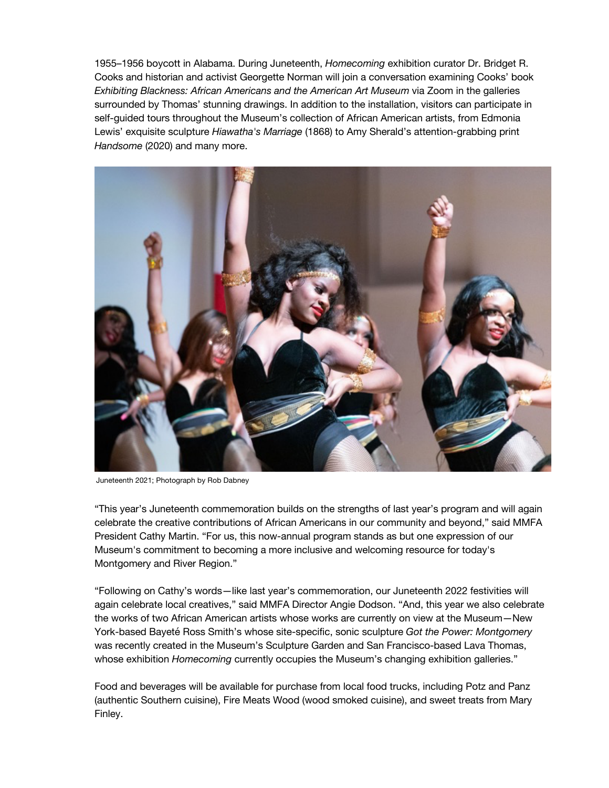1955–1956 boycott in Alabama. During Juneteenth, *Homecoming* exhibition curator Dr. Bridget R. Cooks and historian and activist Georgette Norman will join a conversation examining Cooks' book *Exhibiting Blackness: African Americans and the American Art Museum* via Zoom in the galleries surrounded by Thomas' stunning drawings. In addition to the installation, visitors can participate in self-guided tours throughout the Museum's collection of African American artists, from Edmonia Lewis' exquisite sculpture *Hiawatha's Marriage* (1868) to Amy Sherald's attention-grabbing print *Handsome* (2020) and many more.



Juneteenth 2021; Photograph by Rob Dabney

"This year's Juneteenth commemoration builds on the strengths of last year's program and will again celebrate the creative contributions of African Americans in our community and beyond," said MMFA President Cathy Martin. "For us, this now-annual program stands as but one expression of our Museum's commitment to becoming a more inclusive and welcoming resource for today's Montgomery and River Region."

"Following on Cathy's words—like last year's commemoration, our Juneteenth 2022 festivities will again celebrate local creatives," said MMFA Director Angie Dodson. "And, this year we also celebrate the works of two African American artists whose works are currently on view at the Museum—New York-based Bayeté Ross Smith's whose site-specific, sonic sculpture *Got the Power: Montgomery* was recently created in the Museum's Sculpture Garden and San Francisco-based Lava Thomas, whose exhibition *Homecoming* currently occupies the Museum's changing exhibition galleries."

Food and beverages will be available for purchase from local food trucks, including Potz and Panz (authentic Southern cuisine), Fire Meats Wood (wood smoked cuisine), and sweet treats from Mary Finley.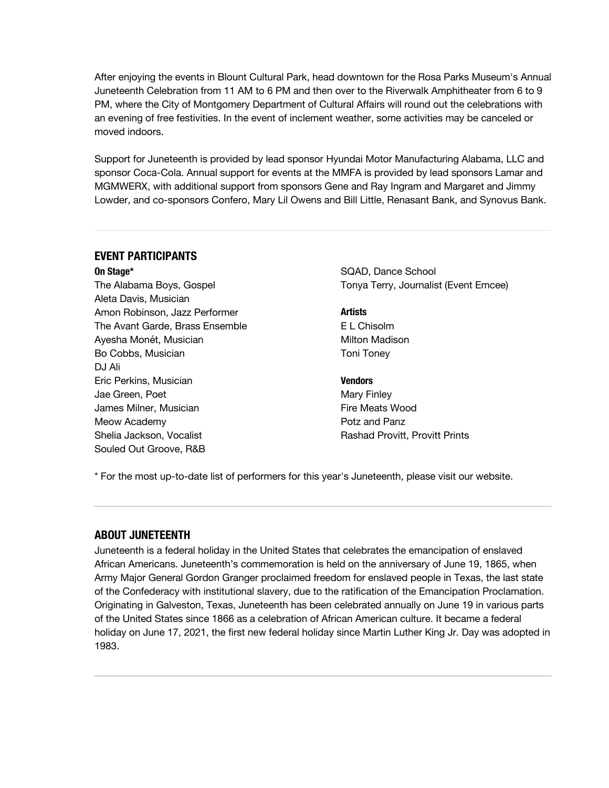After enjoying the events in Blount Cultural Park, head downtown for the Rosa Parks Museum's Annual Juneteenth Celebration from 11 AM to 6 PM and then over to the Riverwalk Amphitheater from 6 to 9 PM, where the City of Montgomery Department of Cultural Affairs will round out the celebrations with an evening of free festivities. In the event of inclement weather, some activities may be canceled or moved indoors.

Support for Juneteenth is provided by lead sponsor Hyundai Motor Manufacturing Alabama, LLC and sponsor Coca-Cola. Annual support for events at the MMFA is provided by lead sponsors Lamar and MGMWERX, with additional support from sponsors Gene and Ray Ingram and Margaret and Jimmy Lowder, and co-sponsors Confero, Mary Lil Owens and Bill Little, Renasant Bank, and Synovus Bank.

#### **EVENT PARTICIPANTS**

**On Stage\***

The Alabama Boys, Gospel Aleta Davis, Musician Amon Robinson, Jazz Performer The Avant Garde, Brass Ensemble Ayesha Monét, Musician Bo Cobbs, Musician DJ Ali Eric Perkins, Musician Jae Green, Poet James Milner, Musician Meow Academy Shelia Jackson, Vocalist Souled Out Groove, R&B

SQAD, Dance School Tonya Terry, Journalist (Event Emcee)

**Artists** E L Chisolm Milton Madison Toni Toney

**Vendors** Mary Finley Fire Meats Wood Potz and Panz Rashad Provitt, Provitt Prints

\* For the most up-to-date list of performers for this year's Juneteenth, please visit our website.

#### **ABOUT JUNETEENTH**

Juneteenth is a federal holiday in the United States that celebrates the emancipation of enslaved African Americans. Juneteenth's commemoration is held on the anniversary of June 19, 1865, when Army Major General Gordon Granger proclaimed freedom for enslaved people in Texas, the last state of the Confederacy with institutional slavery, due to the ratification of the Emancipation Proclamation. Originating in Galveston, Texas, Juneteenth has been celebrated annually on June 19 in various parts of the United States since 1866 as a celebration of African American culture. It became a federal holiday on June 17, 2021, the first new federal holiday since Martin Luther King Jr. Day was adopted in 1983.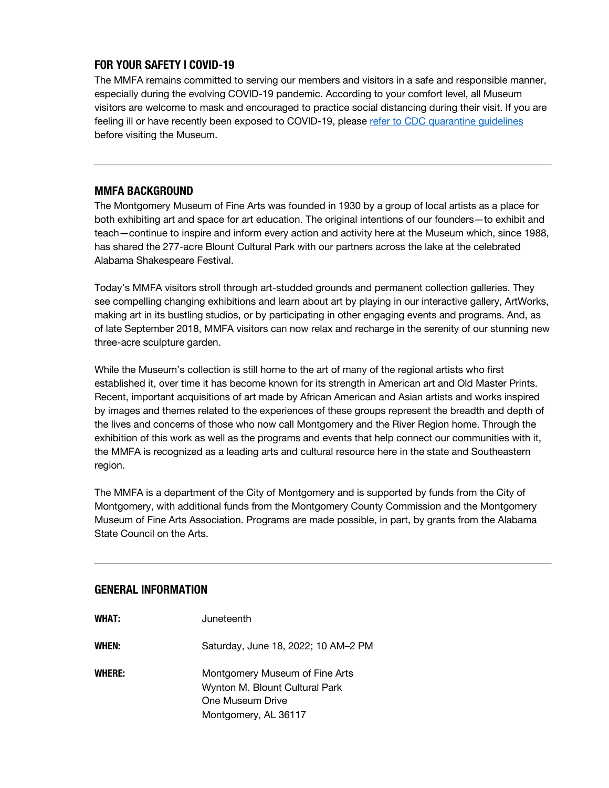# **FOR YOUR SAFETY | COVID-19**

The MMFA remains committed to serving our members and visitors in a safe and responsible manner, especially during the evolving COVID-19 pandemic. According to your comfort level, all Museum visitors are welcome to mask and encouraged to practice social distancing during their visit. If you are feeling ill or have recently been exposed to COVID-19, please refer to CDC quarantine guidelines before visiting the Museum.

## **MMFA BACKGROUND**

The Montgomery Museum of Fine Arts was founded in 1930 by a group of local artists as a place for both exhibiting art and space for art education. The original intentions of our founders—to exhibit and teach—continue to inspire and inform every action and activity here at the Museum which, since 1988, has shared the 277-acre Blount Cultural Park with our partners across the lake at the celebrated Alabama Shakespeare Festival.

Today's MMFA visitors stroll through art-studded grounds and permanent collection galleries. They see compelling changing exhibitions and learn about art by playing in our interactive gallery, ArtWorks, making art in its bustling studios, or by participating in other engaging events and programs. And, as of late September 2018, MMFA visitors can now relax and recharge in the serenity of our stunning new three-acre sculpture garden.

While the Museum's collection is still home to the art of many of the regional artists who first established it, over time it has become known for its strength in American art and Old Master Prints. Recent, important acquisitions of art made by African American and Asian artists and works inspired by images and themes related to the experiences of these groups represent the breadth and depth of the lives and concerns of those who now call Montgomery and the River Region home. Through the exhibition of this work as well as the programs and events that help connect our communities with it, the MMFA is recognized as a leading arts and cultural resource here in the state and Southeastern region.

The MMFA is a department of the City of Montgomery and is supported by funds from the City of Montgomery, with additional funds from the Montgomery County Commission and the Montgomery Museum of Fine Arts Association. Programs are made possible, in part, by grants from the Alabama State Council on the Arts.

#### **GENERAL INFORMATION**

| <b>WHAT:</b>  | Juneteenth                                                                                                   |
|---------------|--------------------------------------------------------------------------------------------------------------|
| WHEN:         | Saturday, June 18, 2022; 10 AM-2 PM                                                                          |
| <b>WHERE:</b> | Montgomery Museum of Fine Arts<br>Wynton M. Blount Cultural Park<br>One Museum Drive<br>Montgomery, AL 36117 |